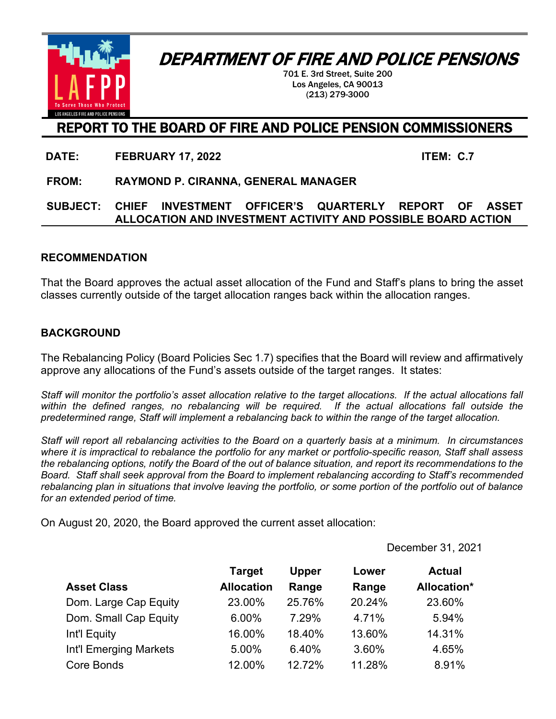

## DEPARTMENT OF FIRE AND POLICE PENSIONS

701 E. 3rd Street, Suite 200 Los Angeles, CA 90013 (213) 279-3000

### REPORT TO THE BOARD OF FIRE AND POLICE PENSION COMMISSIONERS

**DATE: FEBRUARY 17, 2022 ITEM: C.7**

**FROM: RAYMOND P. CIRANNA, GENERAL MANAGER**

#### **SUBJECT: CHIEF INVESTMENT OFFICER'S QUARTERLY REPORT OF ASSET ALLOCATION AND INVESTMENT ACTIVITY AND POSSIBLE BOARD ACTION**

#### **RECOMMENDATION**

That the Board approves the actual asset allocation of the Fund and Staff's plans to bring the asset classes currently outside of the target allocation ranges back within the allocation ranges.

#### **BACKGROUND**

The Rebalancing Policy (Board Policies Sec 1.7) specifies that the Board will review and affirmatively approve any allocations of the Fund's assets outside of the target ranges. It states:

*Staff will monitor the portfolio's asset allocation relative to the target allocations. If the actual allocations fall within the defined ranges, no rebalancing will be required. If the actual allocations fall outside the predetermined range, Staff will implement a rebalancing back to within the range of the target allocation.*

*Staff will report all rebalancing activities to the Board on a quarterly basis at a minimum. In circumstances where it is impractical to rebalance the portfolio for any market or portfolio-specific reason, Staff shall assess the rebalancing options, notify the Board of the out of balance situation, and report its recommendations to the Board. Staff shall seek approval from the Board to implement rebalancing according to Staff's recommended rebalancing plan in situations that involve leaving the portfolio, or some portion of the portfolio out of balance for an extended period of time.* 

On August 20, 2020, the Board approved the current asset allocation:

December 31, 2021

|                        | <b>Target</b>     | <b>Upper</b> | Lower  | <b>Actual</b> |
|------------------------|-------------------|--------------|--------|---------------|
| <b>Asset Class</b>     | <b>Allocation</b> | Range        | Range  | Allocation*   |
| Dom. Large Cap Equity  | 23.00%            | 25.76%       | 20.24% | 23.60%        |
| Dom. Small Cap Equity  | 6.00%             | 7.29%        | 4.71%  | 5.94%         |
| Int'l Equity           | 16.00%            | 18.40%       | 13.60% | 14.31%        |
| Int'l Emerging Markets | 5.00%             | 6.40%        | 3.60%  | 4.65%         |
| Core Bonds             | 12.00%            | 12.72%       | 11.28% | 8.91%         |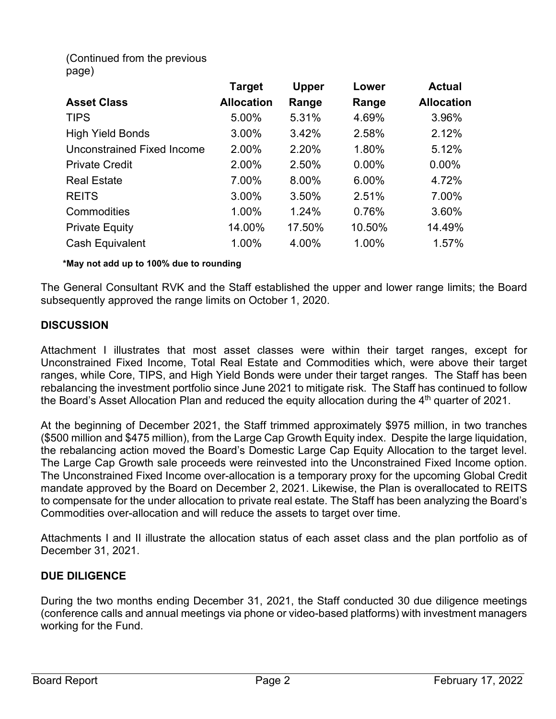(Continued from the previous page)

|                                   | <b>Target</b>     | <b>Upper</b> | Lower    | <b>Actual</b>     |
|-----------------------------------|-------------------|--------------|----------|-------------------|
| <b>Asset Class</b>                | <b>Allocation</b> | Range        | Range    | <b>Allocation</b> |
| <b>TIPS</b>                       | 5.00%             | 5.31%        | 4.69%    | 3.96%             |
| <b>High Yield Bonds</b>           | 3.00%             | 3.42%        | 2.58%    | 2.12%             |
| <b>Unconstrained Fixed Income</b> | 2.00%             | 2.20%        | 1.80%    | 5.12%             |
| <b>Private Credit</b>             | 2.00%             | 2.50%        | $0.00\%$ | 0.00%             |
| <b>Real Estate</b>                | 7.00%             | 8.00%        | 6.00%    | 4.72%             |
| <b>REITS</b>                      | 3.00%             | 3.50%        | 2.51%    | 7.00%             |
| Commodities                       | 1.00%             | 1.24%        | 0.76%    | 3.60%             |
| <b>Private Equity</b>             | 14.00%            | 17.50%       | 10.50%   | 14.49%            |
| <b>Cash Equivalent</b>            | 1.00%             | 4.00%        | 1.00%    | 1.57%             |

**\*May not add up to 100% due to rounding**

The General Consultant RVK and the Staff established the upper and lower range limits; the Board subsequently approved the range limits on October 1, 2020.

#### **DISCUSSION**

Attachment I illustrates that most asset classes were within their target ranges, except for Unconstrained Fixed Income, Total Real Estate and Commodities which, were above their target ranges, while Core, TIPS, and High Yield Bonds were under their target ranges. The Staff has been rebalancing the investment portfolio since June 2021 to mitigate risk. The Staff has continued to follow the Board's Asset Allocation Plan and reduced the equity allocation during the  $4<sup>th</sup>$  quarter of 2021.

At the beginning of December 2021, the Staff trimmed approximately \$975 million, in two tranches (\$500 million and \$475 million), from the Large Cap Growth Equity index. Despite the large liquidation, the rebalancing action moved the Board's Domestic Large Cap Equity Allocation to the target level. The Large Cap Growth sale proceeds were reinvested into the Unconstrained Fixed Income option. The Unconstrained Fixed Income over-allocation is a temporary proxy for the upcoming Global Credit mandate approved by the Board on December 2, 2021. Likewise, the Plan is overallocated to REITS to compensate for the under allocation to private real estate. The Staff has been analyzing the Board's Commodities over-allocation and will reduce the assets to target over time.

Attachments I and II illustrate the allocation status of each asset class and the plan portfolio as of December 31, 2021.

#### **DUE DILIGENCE**

During the two months ending December 31, 2021, the Staff conducted 30 due diligence meetings (conference calls and annual meetings via phone or video-based platforms) with investment managers working for the Fund.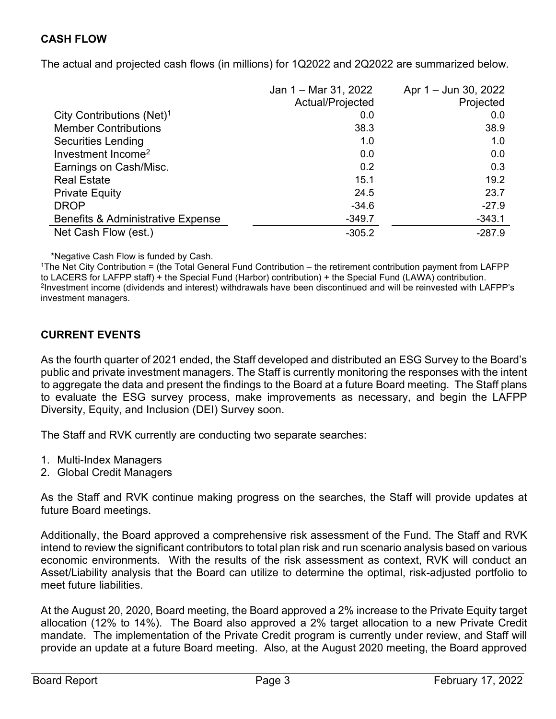#### **CASH FLOW**

The actual and projected cash flows (in millions) for 1Q2022 and 2Q2022 are summarized below.

|                                              | Jan 1 – Mar 31, 2022 | Apr 1 – Jun 30, 2022 |
|----------------------------------------------|----------------------|----------------------|
|                                              | Actual/Projected     | Projected            |
| City Contributions (Net) <sup>1</sup>        | 0.0                  | 0.0                  |
| <b>Member Contributions</b>                  | 38.3                 | 38.9                 |
| <b>Securities Lending</b>                    | 1.0                  | 1.0                  |
| Investment Income <sup>2</sup>               | 0.0                  | 0.0                  |
| Earnings on Cash/Misc.                       | 0.2                  | 0.3                  |
| <b>Real Estate</b>                           | 15.1                 | 19.2                 |
| <b>Private Equity</b>                        | 24.5                 | 23.7                 |
| <b>DROP</b>                                  | $-34.6$              | $-27.9$              |
| <b>Benefits &amp; Administrative Expense</b> | $-349.7$             | $-343.1$             |
| Net Cash Flow (est.)                         | $-305.2$             | $-287.9$             |

\*Negative Cash Flow is funded by Cash.

1The Net City Contribution = (the Total General Fund Contribution – the retirement contribution payment from LAFPP to LACERS for LAFPP staff) + the Special Fund (Harbor) contribution) + the Special Fund (LAWA) contribution. 2Investment income (dividends and interest) withdrawals have been discontinued and will be reinvested with LAFPP's investment managers.

#### **CURRENT EVENTS**

As the fourth quarter of 2021 ended, the Staff developed and distributed an ESG Survey to the Board's public and private investment managers. The Staff is currently monitoring the responses with the intent to aggregate the data and present the findings to the Board at a future Board meeting. The Staff plans to evaluate the ESG survey process, make improvements as necessary, and begin the LAFPP Diversity, Equity, and Inclusion (DEI) Survey soon.

The Staff and RVK currently are conducting two separate searches:

- 1. Multi-Index Managers
- 2. Global Credit Managers

As the Staff and RVK continue making progress on the searches, the Staff will provide updates at future Board meetings.

Additionally, the Board approved a comprehensive risk assessment of the Fund. The Staff and RVK intend to review the significant contributors to total plan risk and run scenario analysis based on various economic environments. With the results of the risk assessment as context, RVK will conduct an Asset/Liability analysis that the Board can utilize to determine the optimal, risk-adjusted portfolio to meet future liabilities.

At the August 20, 2020, Board meeting, the Board approved a 2% increase to the Private Equity target allocation (12% to 14%). The Board also approved a 2% target allocation to a new Private Credit mandate. The implementation of the Private Credit program is currently under review, and Staff will provide an update at a future Board meeting. Also, at the August 2020 meeting, the Board approved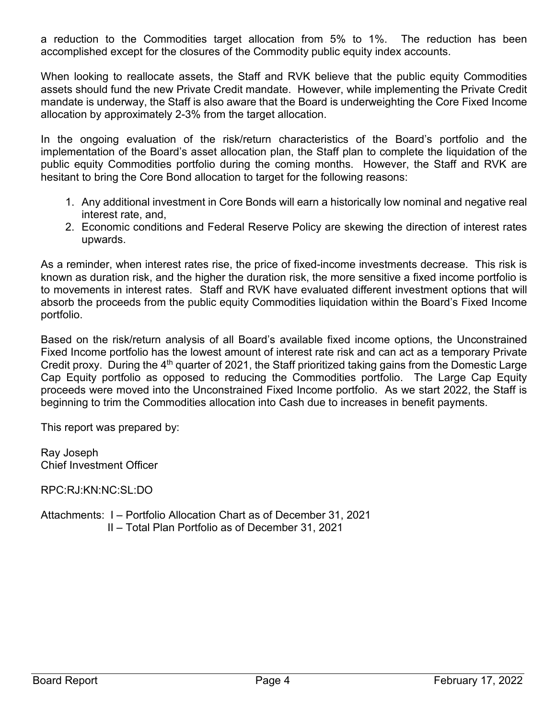a reduction to the Commodities target allocation from 5% to 1%. The reduction has been accomplished except for the closures of the Commodity public equity index accounts.

When looking to reallocate assets, the Staff and RVK believe that the public equity Commodities assets should fund the new Private Credit mandate. However, while implementing the Private Credit mandate is underway, the Staff is also aware that the Board is underweighting the Core Fixed Income allocation by approximately 2-3% from the target allocation.

In the ongoing evaluation of the risk/return characteristics of the Board's portfolio and the implementation of the Board's asset allocation plan, the Staff plan to complete the liquidation of the public equity Commodities portfolio during the coming months. However, the Staff and RVK are hesitant to bring the Core Bond allocation to target for the following reasons:

- 1. Any additional investment in Core Bonds will earn a historically low nominal and negative real interest rate, and,
- 2. Economic conditions and Federal Reserve Policy are skewing the direction of interest rates upwards.

As a reminder, when interest rates rise, the price of fixed-income investments decrease. This risk is known as duration risk, and the higher the duration risk, the more sensitive a fixed income portfolio is to movements in interest rates. Staff and RVK have evaluated different investment options that will absorb the proceeds from the public equity Commodities liquidation within the Board's Fixed Income portfolio.

Based on the risk/return analysis of all Board's available fixed income options, the Unconstrained Fixed Income portfolio has the lowest amount of interest rate risk and can act as a temporary Private Credit proxy. During the  $4<sup>th</sup>$  quarter of 2021, the Staff prioritized taking gains from the Domestic Large Cap Equity portfolio as opposed to reducing the Commodities portfolio. The Large Cap Equity proceeds were moved into the Unconstrained Fixed Income portfolio. As we start 2022, the Staff is beginning to trim the Commodities allocation into Cash due to increases in benefit payments.

This report was prepared by:

Ray Joseph Chief Investment Officer

RPC:RJ:KN:NC:SL:DO

Attachments: I – Portfolio Allocation Chart as of December 31, 2021 II – Total Plan Portfolio as of December 31, 2021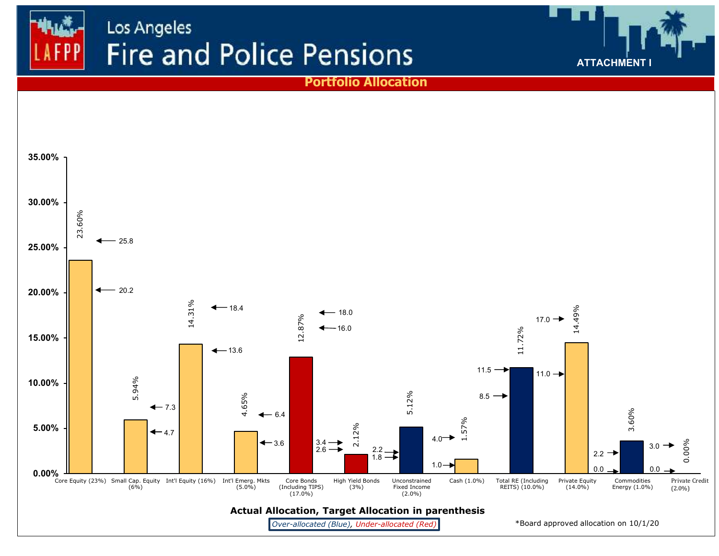